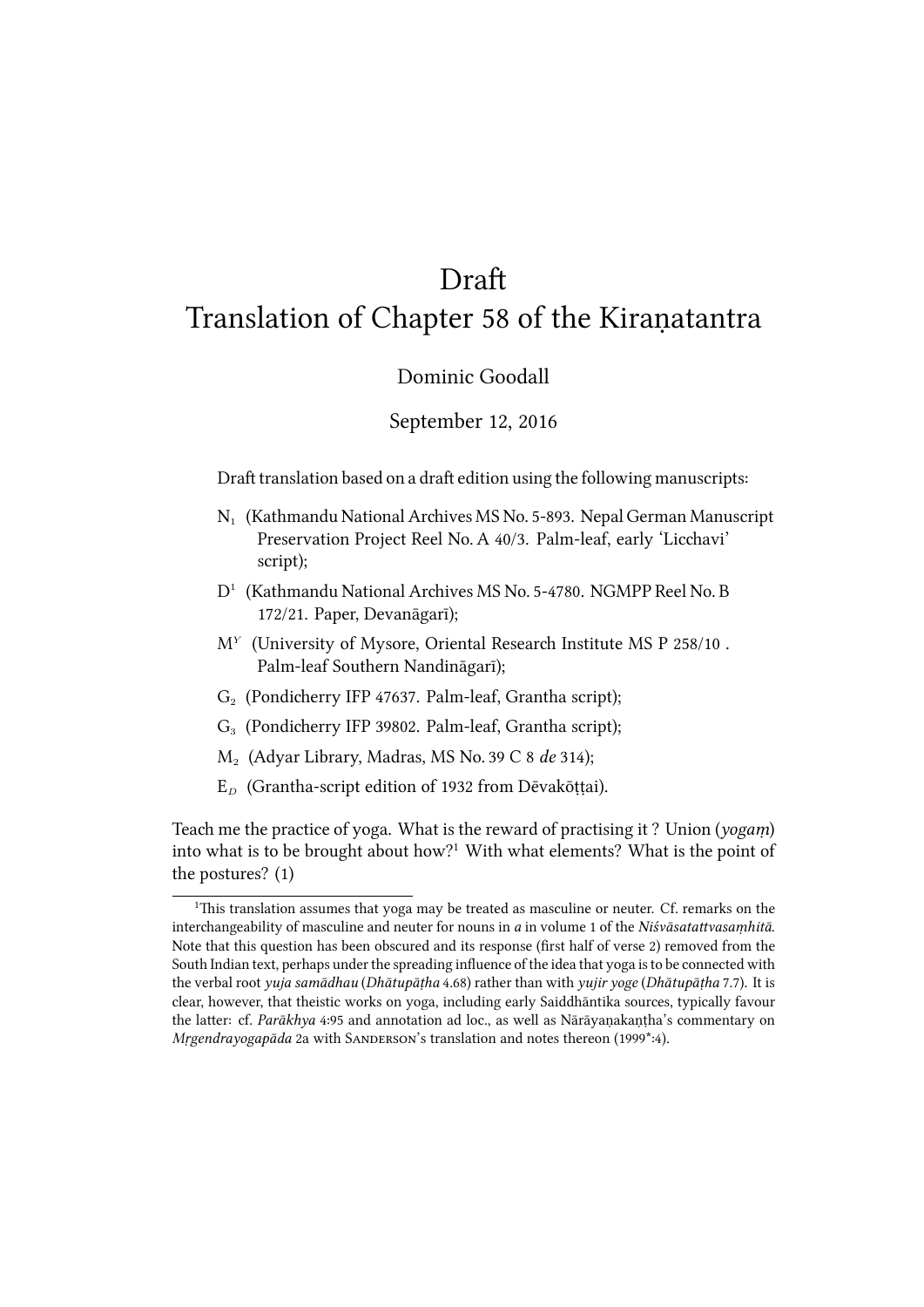# Draft

# Translation of Chapter 58 of the Kiraṇatantra

## Dominic Goodall

## September 12, 2016

Draft translation based on a draft edition using the following manuscripts:

- $N_1$  (Kathmandu National Archives MS No. 5-893. Nepal German Manuscript Preservation Project Reel No. A 40/3. Palm-leaf, early 'Licchavi' script);
- D<sup>1</sup> (Kathmandu National Archives MS No. 5-4780. NGMPP Reel No. B 172/21. Paper, Devanāgarī);
- M<sup>Y</sup> (University of Mysore, Oriental Research Institute MS P 258/10. Palm-leaf Southern Nandināgarī);
- $G<sub>2</sub>$  (Pondicherry IFP 47637. Palm-leaf, Grantha script);
- G<sub>3</sub> (Pondicherry IFP 39802. Palm-leaf, Grantha script);
- M<sup>2</sup> (Adyar Library, Madras, MS No. 39 C 8 *de* 314);
- E*<sup>D</sup>* (Grantha-script edition of 1932 from Dēvakōṭṭai).

Teach me the practice of yoga. What is the reward of practising it? Union (*yogam*) into what is to be brought about how?<sup>1</sup> With what elements? What is the point of the postures? (1)

<sup>&</sup>lt;sup>1</sup>This translation assumes that yoga may be treated as masculine or neuter. Cf. remarks on the interchangeability of masculine and neuter for nouns in *a* in volume 1 of the *Niśvāsatattvasamhitā*. Note that this question has been obscured and its response (first half of verse 2) removed from the South Indian text, perhaps under the spreading influence of the idea that yoga is to be connected with the verbal root *yuja samādhau* (*Dhātupāṭha* 4.68) rather than with *yujir yoge* (*Dhātupāṭha* 7.7). It is clear, however, that theistic works on yoga, including early Saiddhāntika sources, typically favour the latter: cf. *Parākhya* 4:95 and annotation ad loc., as well as Nārāyaṇakaṇṭha's commentary on *Mrgendrayogapāda* 2a with SANDERSON's translation and notes thereon (1999\*:4).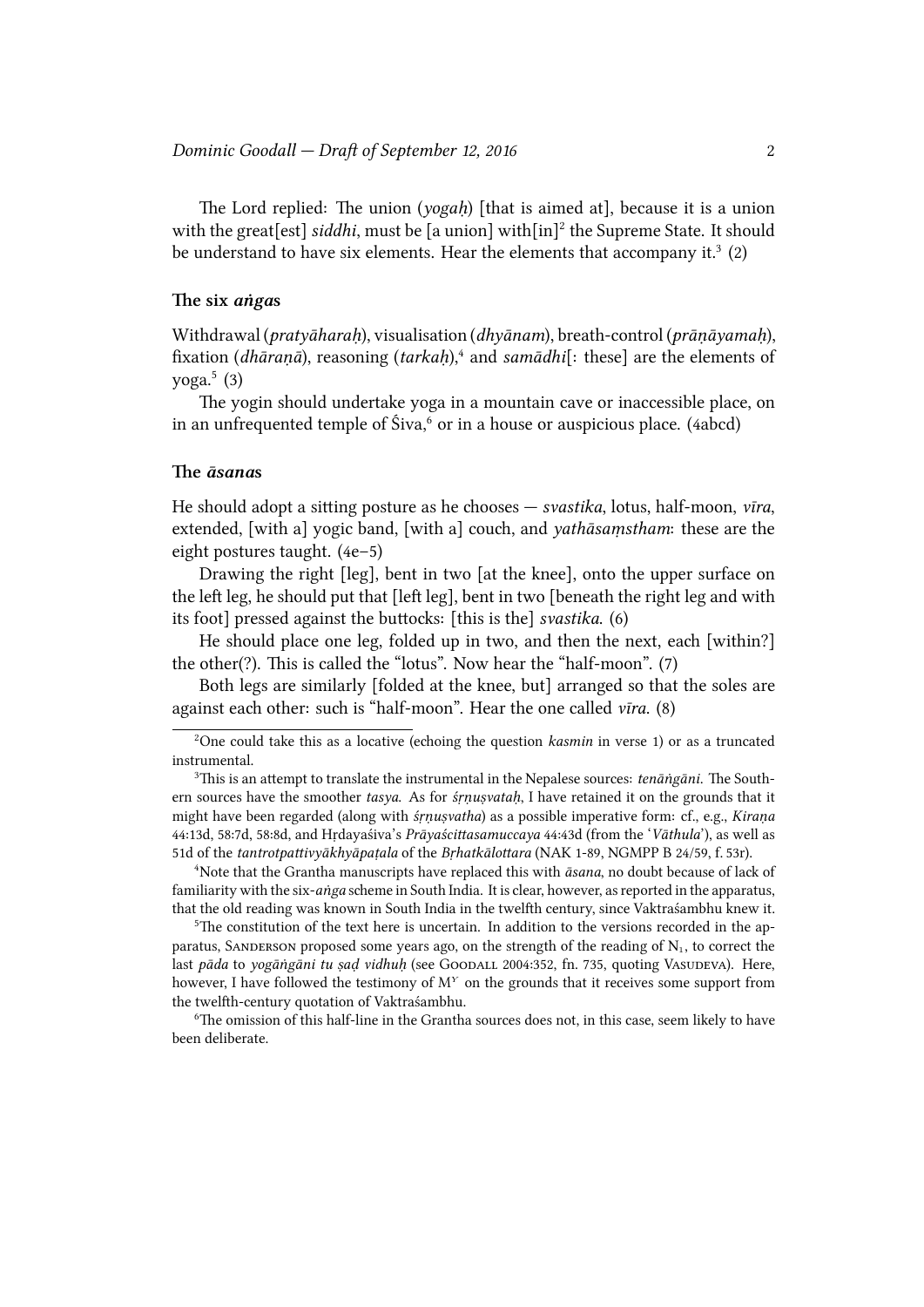The Lord replied: The union (*yogah*) [that is aimed at], because it is a union with the great[est] siddhi, must be [a union] with[in]<sup>2</sup> the Supreme State. It should be understand to have six elements. Hear the elements that accompany it.<sup>3</sup> (2)

### **e six** *aṅga***s**

Withdrawal (*pratyāharaḥ*), visualisation (*dhyānam*), breath-control (*prāṇāyamaḥ*), fixation (*dhāraṇā*), reasoning (*tarkaḥ*),<sup>4</sup> and *samādhi*[: these] are the elements of yoga. $5(3)$ 

The yogin should undertake yoga in a mountain cave or inaccessible place, on in an unfrequented temple of Śiva,<sup>6</sup> or in a house or auspicious place. (4abcd)

## **e** *āsana***s**

He should adopt a sitting posture as he chooses — *svastika*, lotus, half-moon, *vīra*, extended, [with a] yogic band, [with a] couch, and *yathāsaṃstham*: these are the eight postures taught. (4e–5)

Drawing the right [leg], bent in two [at the knee], onto the upper surface on the left leg, he should put that  $\lceil \text{left} \lg p \rceil$ , bent in two  $\lceil \text{beneath} \rceil$  the right leg and with its foot] pressed against the buttocks: [this is the] *svastika*. (6)

He should place one leg, folded up in two, and then the next, each [within?] the other $(?)$ . This is called the "lotus". Now hear the "half-moon".  $(7)$ 

Both legs are similarly [folded at the knee, but] arranged so that the soles are against each other: such is "half-moon". Hear the one called *vīra*. (8)

<sup>4</sup>Note that the Grantha manuscripts have replaced this with *āsana*, no doubt because of lack of familiarity with the six-anga scheme in South India. It is clear, however, as reported in the apparatus, that the old reading was known in South India in the twelfth century, since Vaktraśambhu knew it.

 $5$ The constitution of the text here is uncertain. In addition to the versions recorded in the apparatus, SANDERSON proposed some years ago, on the strength of the reading of  $N_1$ , to correct the last pāda to yogāngāni tu sad vidhuh (see GOODALL 2004:352, fn. 735, quoting VASUDEVA). Here, however, I have followed the testimony of M*<sup>Y</sup>* on the grounds that it receives some support from the twelfth-century quotation of Vaktraśambhu.

 $6$ The omission of this half-line in the Grantha sources does not, in this case, seem likely to have been deliberate.

<sup>&</sup>lt;sup>2</sup>One could take this as a locative (echoing the question *kasmin* in verse 1) or as a truncated instrumental.

 $3$ This is an attempt to translate the instrumental in the Nepalese sources: *tenāṅgāni*. The Southern sources have the smoother *tasya*. As for *śṛṇuṣvataḥ*, I have retained it on the grounds that it might have been regarded (along with *śṛṇuṣvatha*) as a possible imperative form: cf., e.g., *Kiraṇa* 44:13d, 58:7d, 58:8d, and Hṛdayaśiva's *Prāyaściasamuccaya* 44:43d (from the '*Vāthula*'), as well as 51d of the *tantrotpattivyākhyāpaṭala* of the *Brhatkālottara* (NAK 1-89, NGMPP B 24/59, f. 53r).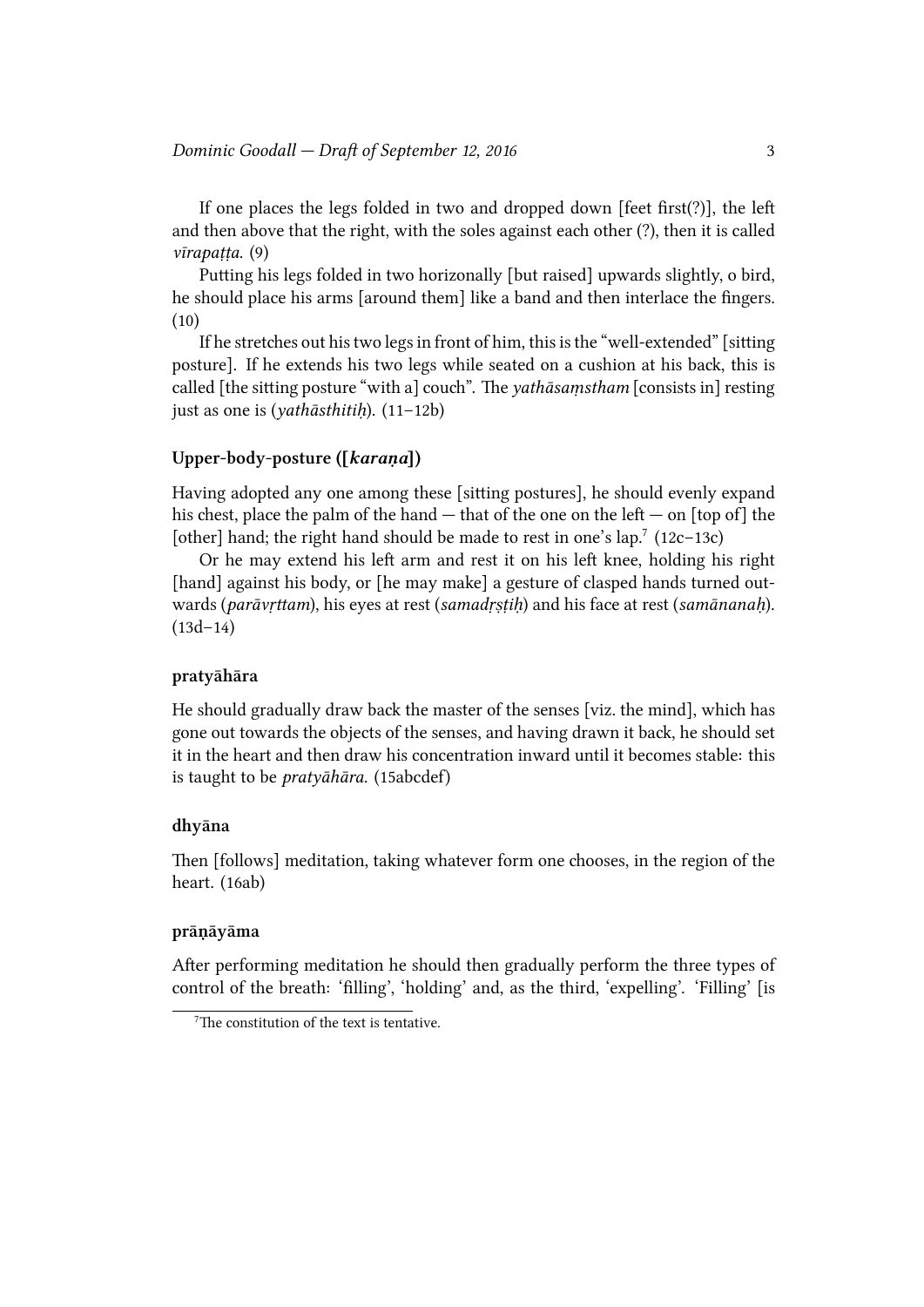If one places the legs folded in two and dropped down  $[feet first(?)]$ , the left and then above that the right, with the soles against each other  $(?)$ , then it is called *vīrapaṭṭa*. (9)

Putting his legs folded in two horizonally [but raised] upwards slightly, o bird, he should place his arms [around them] like a band and then interlace the fingers. (10)

If he stretches out his two legs in front of him, this is the "well-extended" [sitting posture]. If he extends his two legs while seated on a cushion at his back, this is called [the sitting posture "with a] couch". The *yathāsamstham* [consists in] resting just as one is (*yathāsthitiḥ*). (11–12b)

## **Upper-body-posture ([***karaṇa***])**

Having adopted any one among these [sitting postures], he should evenly expand his chest, place the palm of the hand  $-$  that of the one on the left  $-$  on [top of] the [other] hand; the right hand should be made to rest in one's lap.<sup>7</sup> (12c-13c)

Or he may extend his left arm and rest it on his left knee, holding his right [hand] against his body, or [he may make] a gesture of clasped hands turned outwards (*parāvṛttam*), his eyes at rest (*samadṛṣṭiḥ*) and his face at rest (*samānanaḥ*).  $(13d-14)$ 

## **pratyāhāra**

He should gradually draw back the master of the senses [viz. the mind], which has gone out towards the objects of the senses, and having drawn it back, he should set it in the heart and then draw his concentration inward until it becomes stable: this is taught to be *pratyāhāra*. (15abcdef)

## **dhyāna**

Then [follows] meditation, taking whatever form one chooses, in the region of the heart. (16ab)

### **prāṇāyāma**

After performing meditation he should then gradually perform the three types of control of the breath: 'filling', 'holding' and, as the third, 'expelling'. 'Filling' [is

 $7$ The constitution of the text is tentative.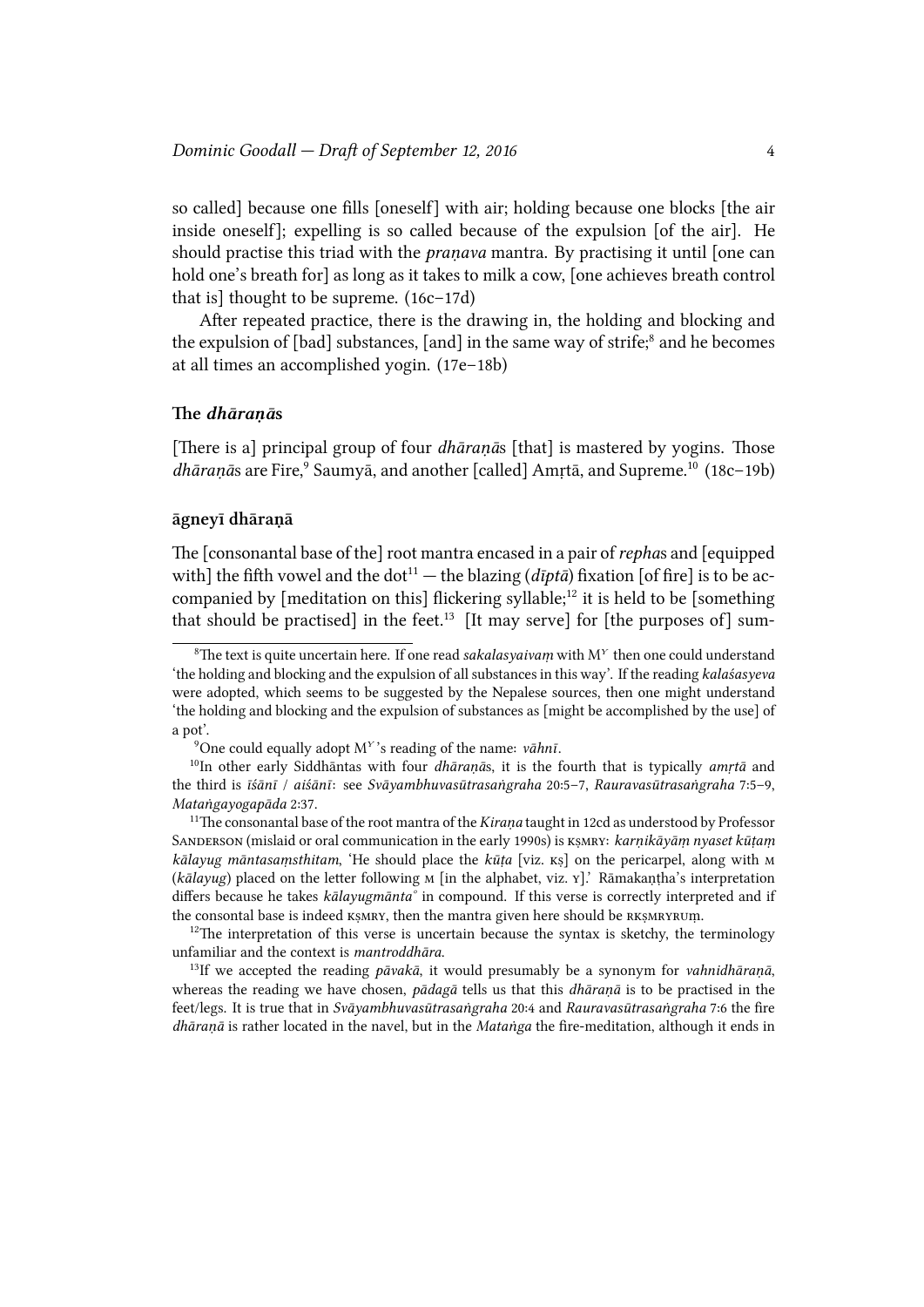so called] because one fills [oneself] with air; holding because one blocks [the air inside oneself]; expelling is so called because of the expulsion [of the air]. He should practise this triad with the *praṇava* mantra. By practising it until [one can hold one's breath for] as long as it takes to milk a cow, [one achieves breath control that is] thought to be supreme. (16c–17d)

After repeated practice, there is the drawing in, the holding and blocking and the expulsion of [bad] substances, [and] in the same way of strife;<sup>8</sup> and he becomes at all times an accomplished yogin. (17e–18b)

#### **e** *dhāraṇā***s**

[There is a] principal group of four *dhāraṇā*s [that] is mastered by yogins. Those dhāraņās are Fire,<sup>9</sup> Saumyā, and another [called] Amrtā, and Supreme.<sup>10</sup> (18c-19b)

## **āgneyī dhāraṇā**

e [consonantal base of the] root mantra encased in a pair of*repha*s and [equipped with] the fifth vowel and the dot<sup>11</sup> — the blazing ( $d$ *ipta*) fixation [of fire] is to be accompanied by [meditation on this] flickering syllable;<sup>12</sup> it is held to be [something] that should be practised] in the feet.<sup>13</sup> [It may serve] for [the purposes of] sum-

<sup>&</sup>lt;sup>8</sup>The text is quite uncertain here. If one read *sakalasyaivaṃ* with  $M<sup>Y</sup>$  then one could understand the holding and blocking and the expulsion of all substances in this way'. If the reading *kalaśasyeva*<sup>'</sup> were adopted, which seems to be suggested by the Nepalese sources, then one might understand 'the holding and blocking and the expulsion of substances as [might be accomplished by the use] of a pot'.

<sup>9</sup>One could equally adopt M*<sup>Y</sup>* 's reading of the name: *vāhnī*.

<sup>10</sup>In other early Siddhāntas with four *dhāraṇā*s, it is the fourth that is typically *amṛtā* and the third is *īśānī* / *aiśānī*: see *Svāyambhuvasūtrasaṅgraha* 20:5–7, *Rauravasūtrasaṅgraha* 7:5–9, *Mataṅgayogapāda* 2:37.

<sup>&</sup>lt;sup>11</sup>The consonantal base of the root mantra of the *Kiraṇa* taught in 12cd as understood by Professor SANDERSON (mislaid or oral communication in the early 1990s) is *KSMRY: karņikāyām nyaset kūṭam kālayug māntasaṃsthitam*, 'He should place the *kūṭa* [viz. kṣ] on the pericarpel, along with M (*kālayug*) placed on the letter following **M** [in the alphabet, viz. **Y**].' Rāmakaṇṭha's interpretation differs because he takes *kālayugmānta°* in compound. If this verse is correctly interpreted and if the consontal base is indeed  $\kappa$  smax, then the mantra given here should be  $\kappa$  k  $\kappa$  smax  $\kappa$  v.m.

 $12$ The interpretation of this verse is uncertain because the syntax is sketchy, the terminology unfamiliar and the context is *mantroddhāra*.

<sup>13</sup>If we accepted the reading *pāvakā*, it would presumably be a synonym for *vahnidhāraṇā*, whereas the reading we have chosen, *pādagā* tells us that this *dhāranā* is to be practised in the feet/legs. It is true that in *Svāyambhuvasūtrasaṅgraha* 20:4 and *Rauravasūtrasaṅgraha* 7:6 the fire *dhāraṇā* is rather located in the navel, but in the *Mataṅga* the fire-meditation, although it ends in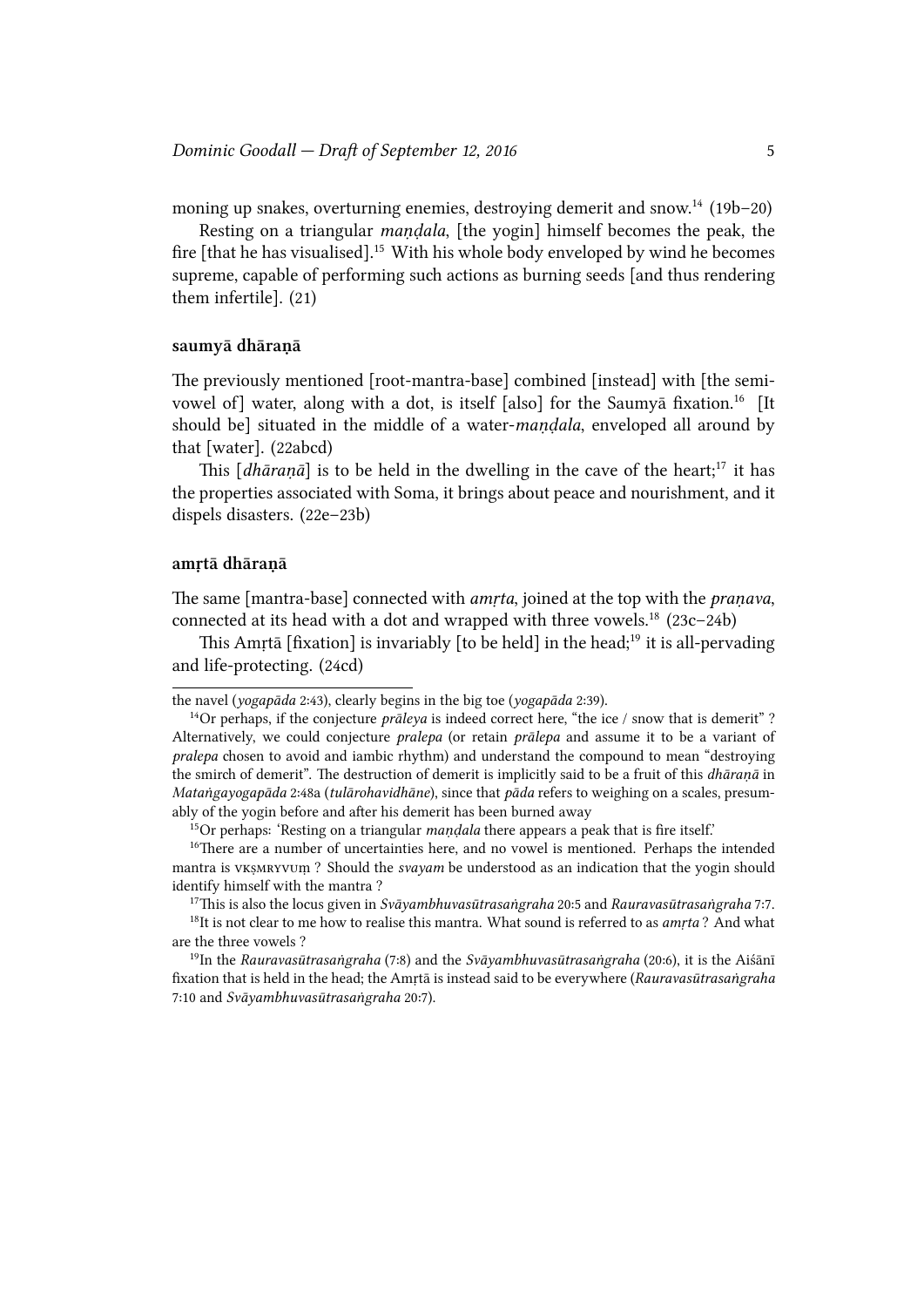moning up snakes, overturning enemies, destroying demerit and snow.<sup>14</sup> (19b–20)

Resting on a triangular *maṇḍala*, [the yogin] himself becomes the peak, the fire [that he has visualised].<sup>15</sup> With his whole body enveloped by wind he becomes supreme, capable of performing such actions as burning seeds [and thus rendering them infertile]. (21)

## **saumyā dhāraṇā**

The previously mentioned [root-mantra-base] combined [instead] with [the semivowel of] water, along with a dot, is itself [also] for the Saumyā fixation.<sup>16</sup> [It] should be] situated in the middle of a water-*maṇḍala*, enveloped all around by that [water]. (22abcd)

This  $[dhāranā]$  is to be held in the dwelling in the cave of the heart;<sup>17</sup> it has the properties associated with Soma, it brings about peace and nourishment, and it dispels disasters. (22e–23b)

### **amṛtā dhāraṇā**

The same [mantra-base] connected with *amrta*, joined at the top with the *pranava*, connected at its head with a dot and wrapped with three vowels.<sup>18</sup> (23c–24b)

This Amrtā [fixation] is invariably [to be held] in the head;<sup>19</sup> it is all-pervading and life-protecting. (24cd)

<sup>17</sup>is is also the locus given in *Svāyambhuvasūtrasaṅgraha* 20:5 and *Rauravasūtrasaṅgraha* 7:7.

the navel (*yogapāda* 2:43), clearly begins in the big toe (*yogapāda* 2:39).

<sup>14</sup>Or perhaps, if the conjecture *prāleya* is indeed correct here, "the ice / snow that is demerit" ? Alternatively, we could conjecture *pralepa* (or retain *prālepa* and assume it to be a variant of *pralepa* chosen to avoid and iambic rhythm) and understand the compound to mean "destroying the smirch of demerit". The destruction of demerit is implicitly said to be a fruit of this *dhāranā* in *Mataṅgayogapāda* 2:48a (*tulārohavidhāne*), since that *pāda* refers to weighing on a scales, presumably of the yogin before and after his demerit has been burned away

<sup>15</sup>Or perhaps: 'Resting on a triangular *maṇḍala* there appears a peak that is fire itself.'

 $16$ There are a number of uncertainties here, and no vowel is mentioned. Perhaps the intended mantra is vksMRYVUm? Should the *svayam* be understood as an indication that the yogin should identify himself with the mantra ?

<sup>&</sup>lt;sup>18</sup>It is not clear to me how to realise this mantra. What sound is referred to as *amrta*? And what are the three vowels ?

<sup>19</sup>In the *Rauravasūtrasaṅgraha* (7:8) and the *Svāyambhuvasūtrasaṅgraha* (20:6), it is the Aiśānī fixation that is held in the head; the Amṛtā is instead said to be everywhere (*Rauravasūtrasaṅgraha* 7:10 and *Svāyambhuvasūtrasaṅgraha* 20:7).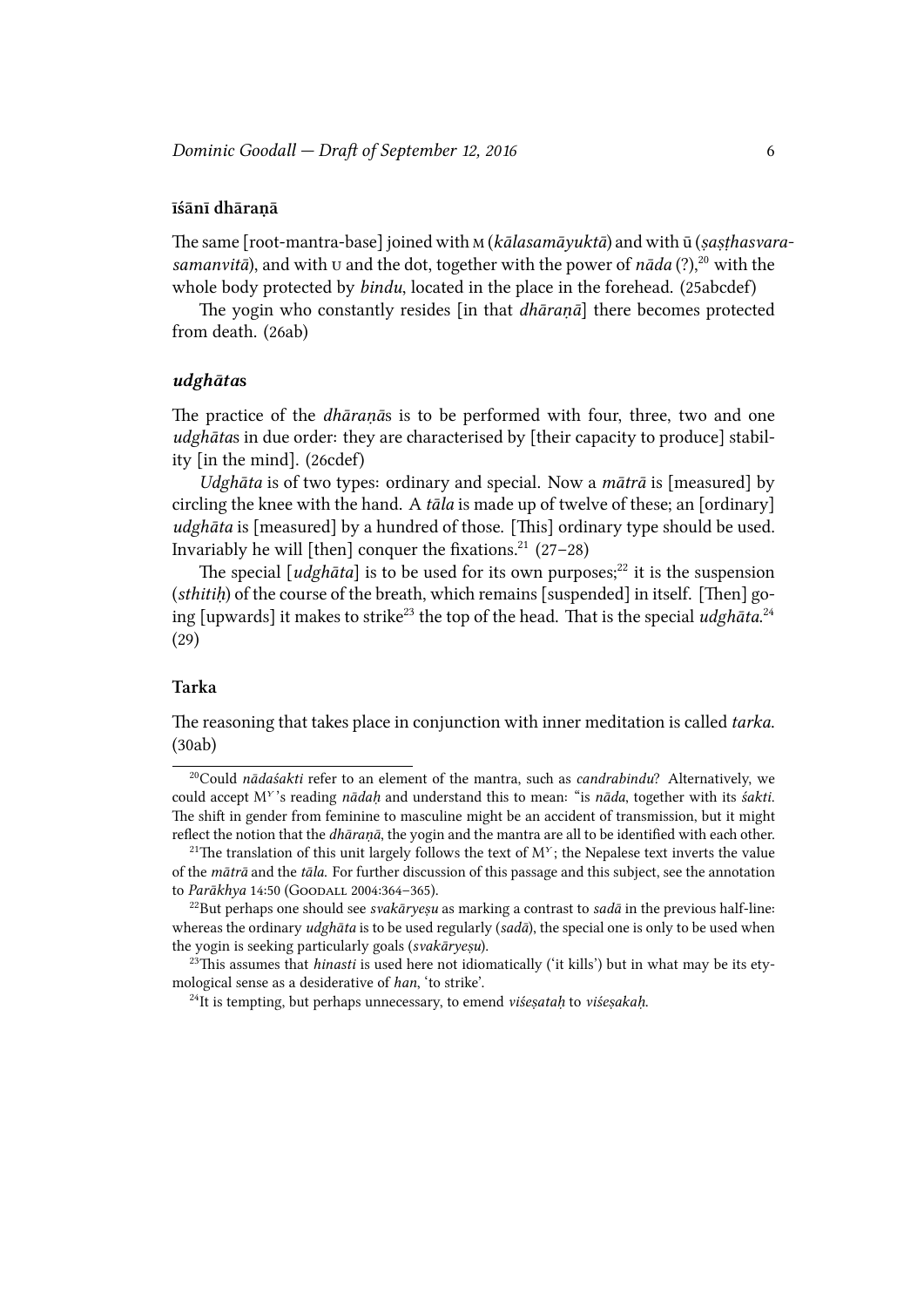## **īśānī dhāraṇā**

The same [root-mantra-base] joined with *M* (*kālasamāyuktā*) and with ū (*sasthasvarasamanvitā*), and with **v** and the dot, together with the power of  $n\bar{a}da$  (?),<sup>20</sup> with the whole body protected by *bindu*, located in the place in the forehead. (25abcdef)

The yogin who constantly resides [in that *dhāraṇā*] there becomes protected from death. (26ab)

## *udghāta***s**

The practice of the *dhāraṇās* is to be performed with four, three, two and one *udghātas* in due order: they are characterised by [their capacity to produce] stability [in the mind]. (26cdef)

*Udghāta* is of two types: ordinary and special. Now a *mātrā* is [measured] by circling the knee with the hand. A *tāla* is made up of twelve of these; an [ordinary] *udghāta* is [measured] by a hundred of those. [This] ordinary type should be used. Invariably he will [then] conquer the fixations.<sup>21</sup> (27–28)

The special  $\lceil u \, dy \, h \, \bar{a} \, t \, a \rceil$  is to be used for its own purposes;<sup>22</sup> it is the suspension (*sthitih*) of the course of the breath, which remains [suspended] in itself. [Then] going [upwards] it makes to strike<sup>23</sup> the top of the head. That is the special *udghāta*.<sup>24</sup>  $(29)$ 

## **Tarka**

The reasoning that takes place in conjunction with inner meditation is called *tarka*. (30ab)

<sup>&</sup>lt;sup>20</sup>Could *nādaśakti* refer to an element of the mantra, such as *candrabindu*? Alternatively, we could accept M*<sup>Y</sup>* 's reading *nādaḥ* and understand this to mean: "is *nāda*, together with its *śakti*. The shift in gender from feminine to masculine might be an accident of transmission, but it might reflect the notion that the *dhāranā*, the yogin and the mantra are all to be identified with each other.

<sup>&</sup>lt;sup>21</sup>The translation of this unit largely follows the text of  $M<sup>Y</sup>$ ; the Nepalese text inverts the value of the *mātrā* and the *tāla*. For further discussion of this passage and this subject, see the annotation to *Parākhya* 14:50 (GOODALL 2004:364-365).

<sup>22</sup>But perhaps one should see *svakāryeṣu* as marking a contrast to *sadā* in the previous half-line: whereas the ordinary *udghāta* is to be used regularly (*sadā*), the special one is only to be used when the yogin is seeking particularly goals (*svakāryeṣu*).

 $23$ This assumes that *hinasti* is used here not idiomatically ('it kills') but in what may be its etymological sense as a desiderative of *han*, 'to strike'.

<sup>24</sup>It is tempting, but perhaps unnecessary, to emend *viśeṣataḥ* to *viśeṣakaḥ*.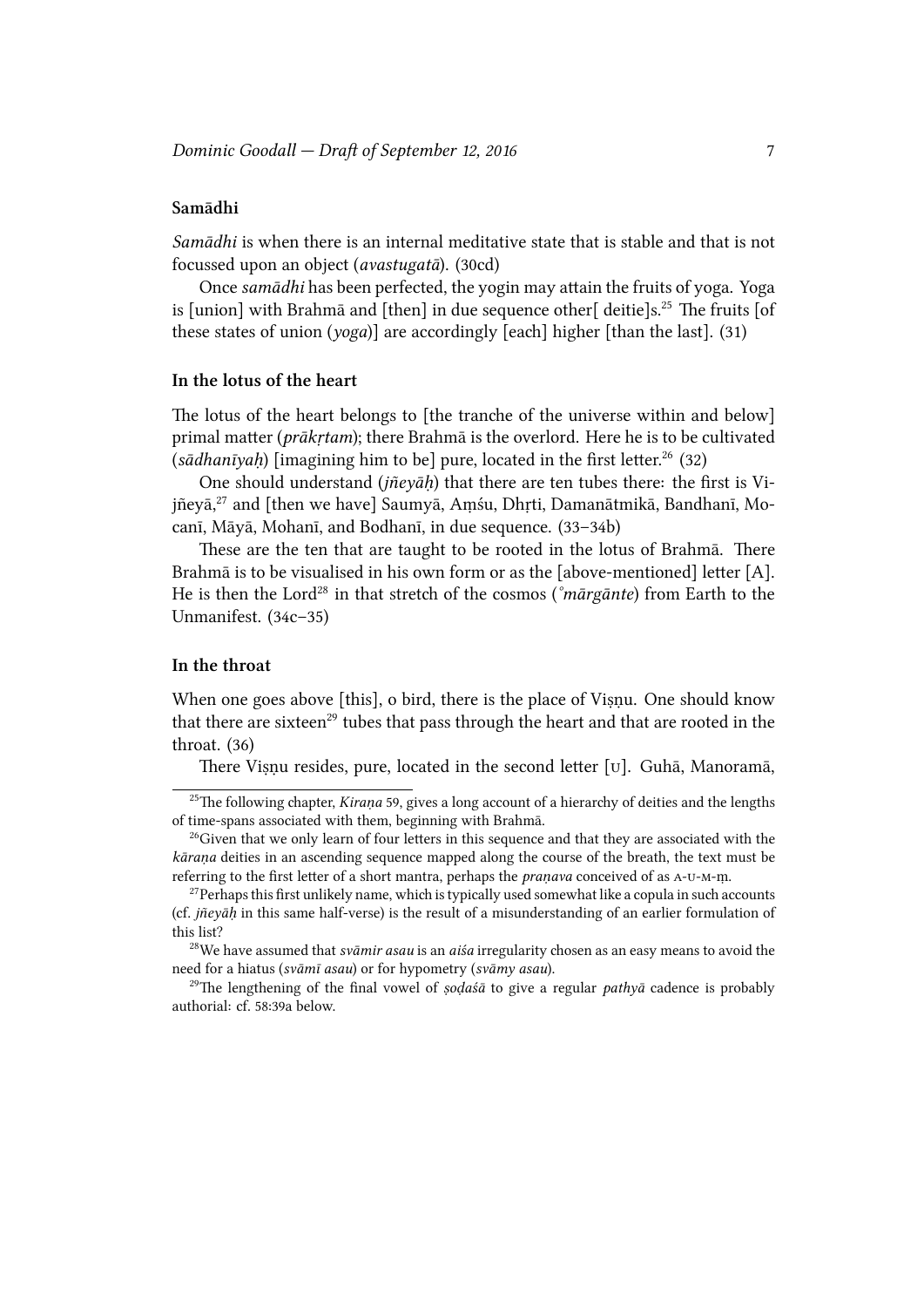## **Samādhi**

*Samādhi* is when there is an internal meditative state that is stable and that is not focussed upon an object (*avastugatā*). (30cd)

Once samādhi has been perfected, the yogin may attain the fruits of yoga. Yoga is [union] with Brahmā and [then] in due sequence other[ deitie]s.<sup>25</sup> The fruits [of these states of union (*yoga*)] are accordingly [each] higher [than the last]. (31)

## **In the lotus of the heart**

The lotus of the heart belongs to [the tranche of the universe within and below] primal matter (*prākrtam*); there Brahmā is the overlord. Here he is to be cultivated (*sādhanīyaḥ*) [imagining him to be] pure, located in the first letter.<sup>26</sup> (32)

One should understand (*jñeyāḥ*) that there are ten tubes there: the first is Vijñeyā,<sup>27</sup> and [then we have] Saumyā, Aṃśu, Dhṛti, Damanātmikā, Bandhanī, Mocanī, Māyā, Mohanī, and Bodhanī, in due sequence. (33–34b)

These are the ten that are taught to be rooted in the lotus of Brahma. There Brahmā is to be visualised in his own form or as the [above-mentioned] letter [A]. He is then the Lord<sup>28</sup> in that stretch of the cosmos (*°mārgānte*) from Earth to the Unmanifest. (34c–35)

## **In the throat**

When one goes above [this], o bird, there is the place of Viṣṇu. One should know that there are sixteen<sup>29</sup> tubes that pass through the heart and that are rooted in the throat. (36)

There Viṣṇu resides, pure, located in the second letter [v]. Guhā, Manoramā,

<sup>&</sup>lt;sup>25</sup>The following chapter, *Kiraṇa* 59, gives a long account of a hierarchy of deities and the lengths of time-spans associated with them, beginning with Brahmā.

 $26$ Given that we only learn of four letters in this sequence and that they are associated with the *kāraṇa* deities in an ascending sequence mapped along the course of the breath, the text must be referring to the first letter of a short mantra, perhaps the *pranava* conceived of as A-U-M-m.

 $^{27}$ Perhaps this first unlikely name, which is typically used somewhat like a copula in such accounts (cf. *jñeyāḥ* in this same half-verse) is the result of a misunderstanding of an earlier formulation of this list?

<sup>&</sup>lt;sup>28</sup>We have assumed that *svāmir asau* is an *aiśa* irregularity chosen as an easy means to avoid the need for a hiatus (*svāmī asau*) or for hypometry (*svāmy asau*).

<sup>&</sup>lt;sup>29</sup>The lengthening of the final vowel of *ṣoḍaśā* to give a regular *pathyā* cadence is probably authorial: cf. 58:39a below.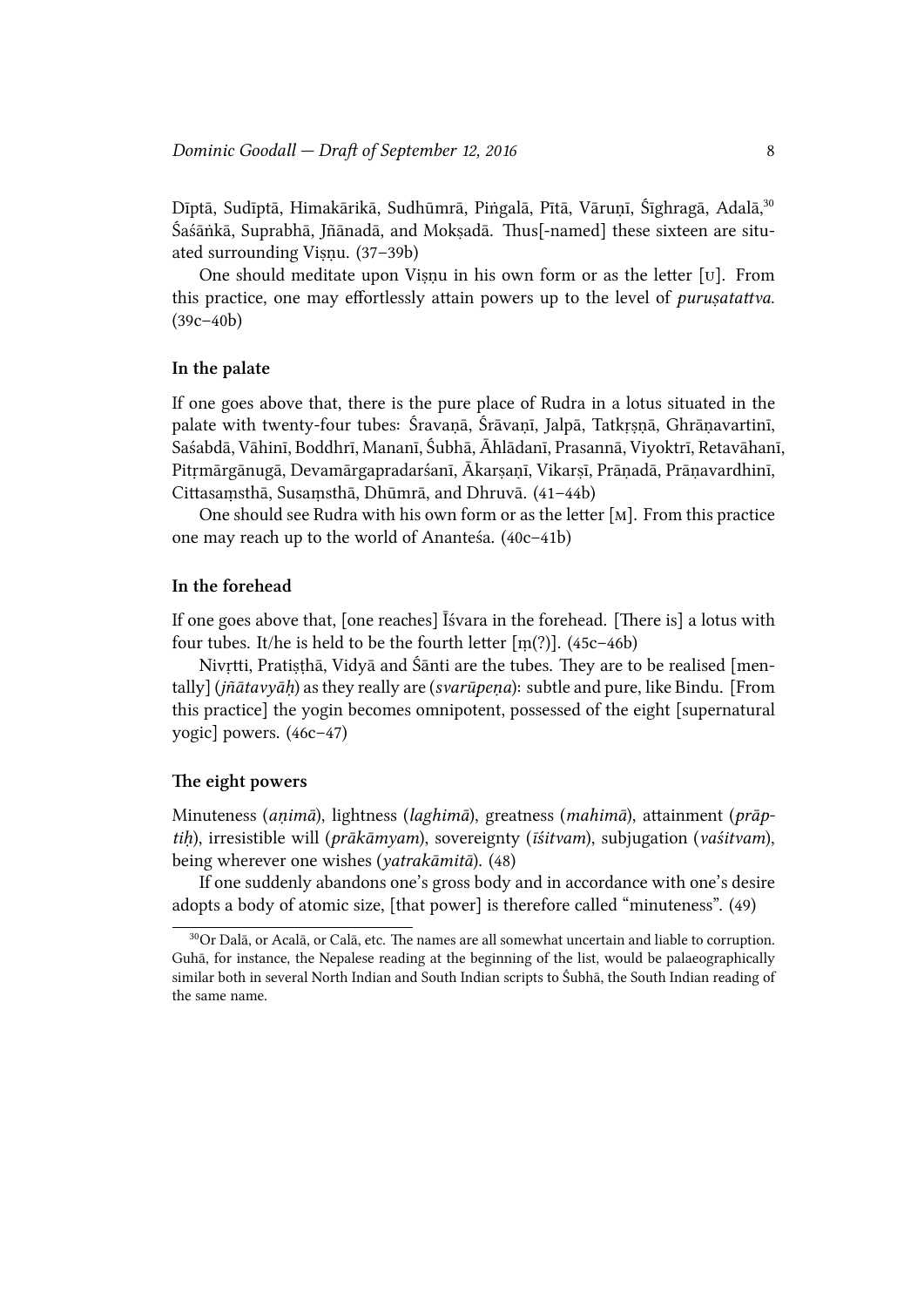Dīptā, Sudīptā, Himakārikā, Sudhūmrā, Piṅgalā, Pītā, Vāruṇī, Śīghragā, Adalā,<sup>30</sup> Śaśāṅkā, Suprabhā, Jñānadā, and Moksadā. Thus[-named] these sixteen are situated surrounding Viṣṇu. (37–39b)

One should meditate upon Viṣṇu in his own form or as the letter  $[v]$ . From this practice, one may effortlessly attain powers up to the level of *purusatattva*. (39c–40b)

### **In the palate**

If one goes above that, there is the pure place of Rudra in a lotus situated in the palate with twenty-four tubes: Śravaṇā, Śrāvaṇī, Jalpā, Tatkṛṣṇā, Ghrāṇavartinī, Saśabdā, Vāhinī, Boddhrī, Mananī, Śubhā, Āhlādanī, Prasannā, Viyoktrī, Retavāhanī, Pitrmārgānugā, Devamārgapradarśanī, Ākarsanī, Vikarsī, Prānadā, Prānavardhinī, Cittasamsthā, Susamsthā, Dhūmrā, and Dhruvā. (41–44b)

One should see Rudra with his own form or as the letter  $[M]$ . From this practice one may reach up to the world of Ananteśa.  $(40c-41b)$ 

## **In the forehead**

If one goes above that, [one reaches]  $\bar{I}$  svara in the forehead. [There is] a lotus with four tubes. It/he is held to be the fourth letter  $[m(?)]$ . (45c-46b)

Nivṛtti, Pratiṣṭhā, Vidyā and Śānti are the tubes. They are to be realised [mentally] (*jñātavyāḥ*) as they really are (*svarūpeṇa*): subtle and pure, like Bindu. [From this practice] the yogin becomes omnipotent, possessed of the eight [supernatural yogic] powers. (46c–47)

#### The eight powers

Minuteness (*animā*), lightness (*laghimā*), greatness (*mahimā*), attainment (*prāptiḥ*), irresistible will (*prākāmyam*), sovereignty (*īśitvam*), subjugation (*vaśitvam*), being wherever one wishes (*yatrakāmitā*). (48)

If one suddenly abandons one's gross body and in accordance with one's desire adopts a body of atomic size, [that power] is therefore called "minuteness". (49)

 $30$ Or Dalā, or Acalā, or Calā, etc. The names are all somewhat uncertain and liable to corruption. Guhā, for instance, the Nepalese reading at the beginning of the list, would be palaeographically similar both in several North Indian and South Indian scripts to Śubhā, the South Indian reading of the same name.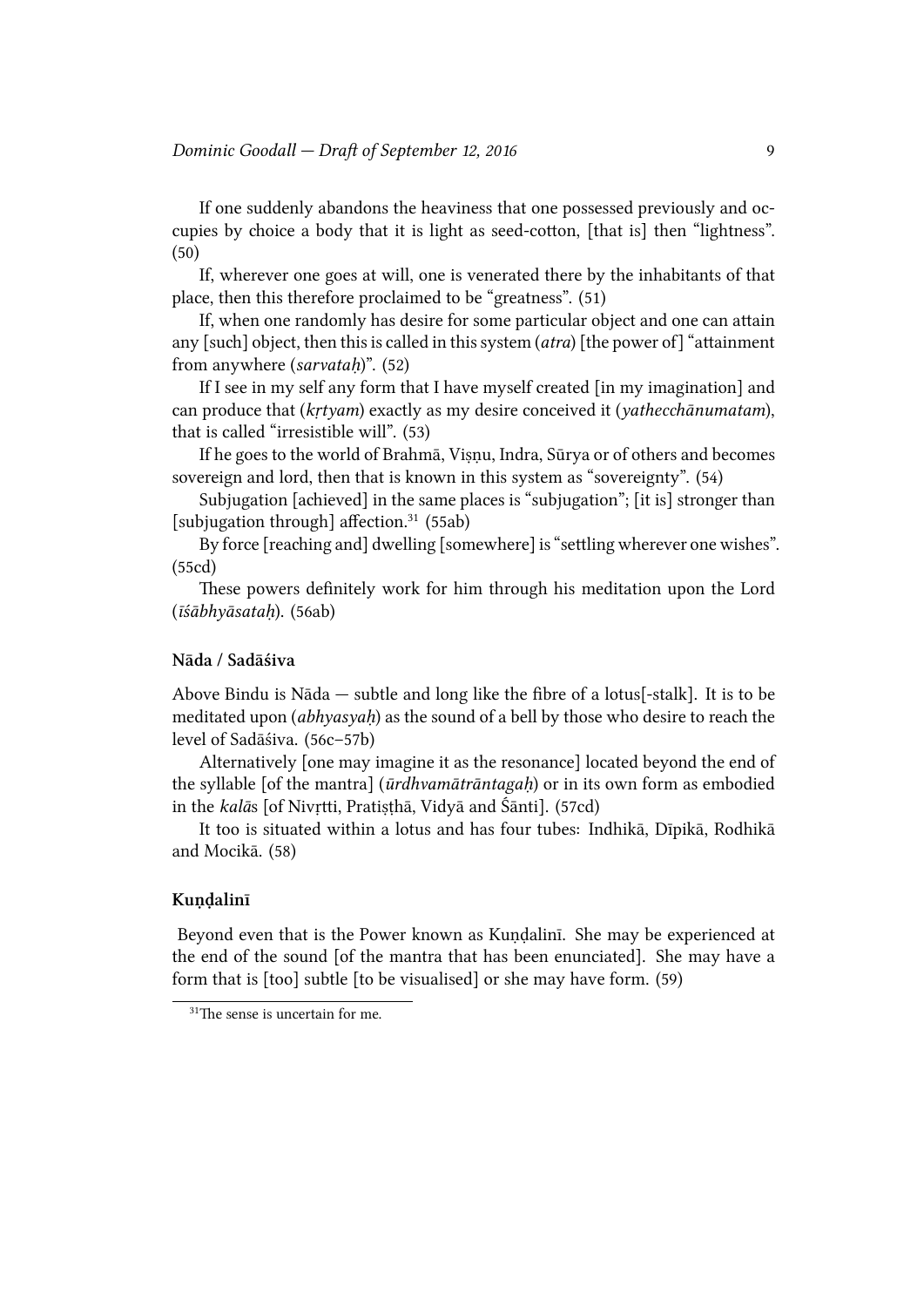If one suddenly abandons the heaviness that one possessed previously and occupies by choice a body that it is light as seed-cotton, [that is] then "lightness". (50)

If, wherever one goes at will, one is venerated there by the inhabitants of that place, then this therefore proclaimed to be "greatness". (51)

If, when one randomly has desire for some particular object and one can attain any [such] object, then this is called in this system  $(atra)$  [the power of] "attainment" from anywhere (*sarvataḥ*)". (52)

If I see in my self any form that I have myself created [in my imagination] and can produce that (*kṛtyam*) exactly as my desire conceived it (*yathecānumatam*), that is called "irresistible will". (53)

If he goes to the world of Brahmā, Viṣṇu, Indra, Sūrya or of others and becomes sovereign and lord, then that is known in this system as "sovereignty". (54)

Subjugation [achieved] in the same places is "subjugation"; [it is] stronger than [subjugation through] affection.<sup>31</sup> (55ab)

By force [reaching and] dwelling [somewhere] is "settling wherever one wishes". (55cd)

These powers definitely work for him through his meditation upon the Lord (*īśābhyāsataḥ*). (56ab)

## **Nāda / Sadāśiva**

Above Bindu is Nāda — subtle and long like the fibre of a lotus[-stalk]. It is to be meditated upon *(abhyasyah)* as the sound of a bell by those who desire to reach the level of Sadāśiva. (56c–57b)

Alternatively [one may imagine it as the resonance] located beyond the end of the syllable [of the mantra] (*ūrdhvamātrāntagaḥ*) or in its own form as embodied in the *kalās* [of Nivṛtti, Pratiṣṭhā, Vidyā and Śānti]. (57cd)

It too is situated within a lotus and has four tubes: Indhikā, Dīpikā, Rodhikā and Mocikā. (58)

### **Kuṇḍalinī**

Beyond even that is the Power known as Kuṇḍalinī. She may be experienced at the end of the sound [of the mantra that has been enunciated]. She may have a form that is [too] subtle [to be visualised] or she may have form. (59)

 $31$ The sense is uncertain for me.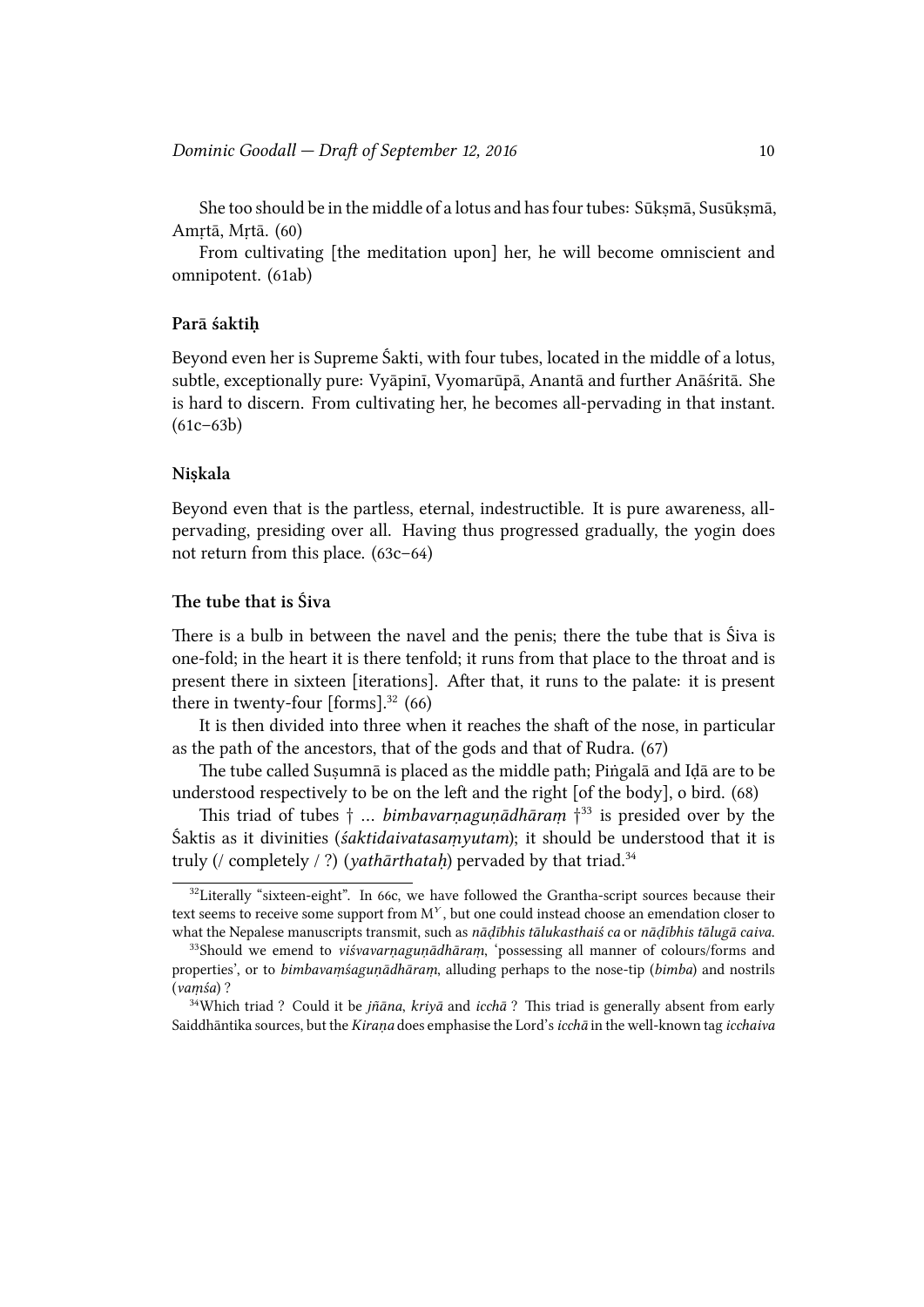She too should be in the middle of a lotus and has four tubes: Sūkṣmā, Susūkṣmā, Amṛtā, Mṛtā. (60)

From cultivating [the meditation upon] her, he will become omniscient and omnipotent. (61ab)

### **Parā śaktiḥ**

Beyond even her is Supreme Śakti, with four tubes, located in the middle of a lotus, subtle, exceptionally pure: Vyāpinī, Vyomarūpā, Anantā and further Anāśritā. She is hard to discern. From cultivating her, he becomes all-pervading in that instant.  $(61c-63b)$ 

## **Niṣkala**

Beyond even that is the partless, eternal, indestructible. It is pure awareness, allpervading, presiding over all. Having thus progressed gradually, the yogin does not return from this place. (63c–64)

## **e tube that is Śiva**

There is a bulb in between the navel and the penis; there the tube that is Siva is one-fold; in the heart it is there tenfold; it runs from that place to the throat and is present there in sixteen [iterations]. After that, it runs to the palate: it is present there in twenty-four  $[forms].^{32}$  (66)

It is then divided into three when it reaches the shaft of the nose, in particular as the path of the ancestors, that of the gods and that of Rudra. (67)

e tube called Suṣumnā is placed as the middle path; Piṅgalā and Iḍā are to be understood respectively to be on the left and the right  $[of the body]$ , o bird.  $(68)$ 

is triad of tubes *†* … *bimbavarṇaguṇādhāraṃ †* <sup>33</sup> is presided over by the Śaktis as it divinities (*śaktidaivatasaṃyutam*); it should be understood that it is truly (/ completely / ?) (*yathārthataḥ*) pervaded by that triad.<sup>34</sup>

 $32$ Literally "sixteen-eight". In 66c, we have followed the Grantha-script sources because their text seems to receive some support from M<sup>Y</sup>, but one could instead choose an emendation closer to what the Nepalese manuscripts transmit, such as *nādībhis tālukasthaiś ca* or *nādībhis tālugā caiva*.

<sup>33</sup>Should we emend to *viśvavarṇaguṇādhāraṃ*, 'possessing all manner of colours/forms and properties', or to *bimbavaṃśaguṇādhāraṃ*, alluding perhaps to the nose-tip (*bimba*) and nostrils (*vaṃśa*) ?

 $34$ Which triad ? Could it be *jñāna*, *krivā* and *icchā* ? This triad is generally absent from early Saiddhāntika sources, but the *Kiraṇa* does emphasise the Lord's*icā* in the well-known tag *icaiva*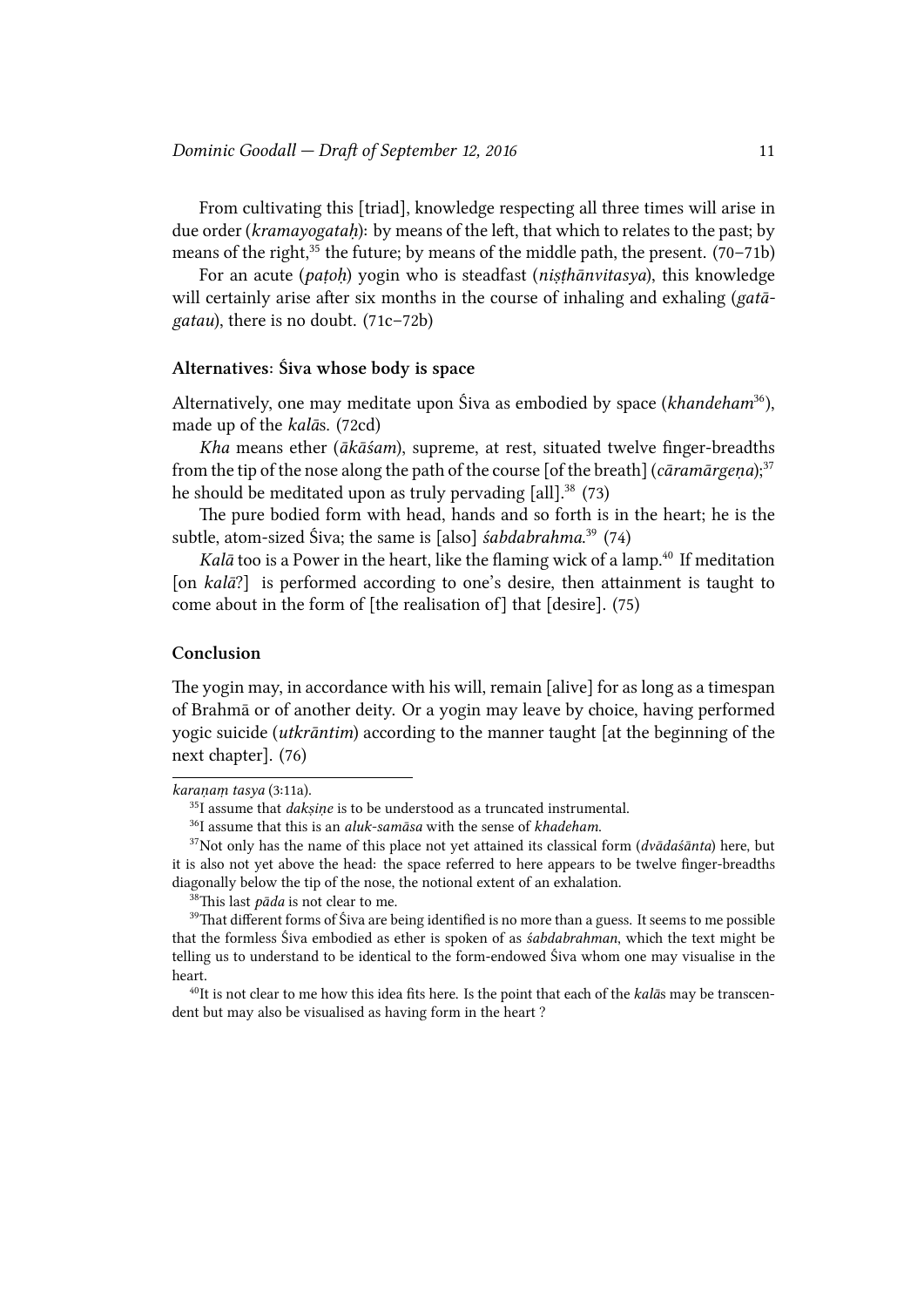From cultivating this [triad], knowledge respecting all three times will arise in due order (*kramayogatah*): by means of the left, that which to relates to the past; by means of the right,<sup>35</sup> the future; by means of the middle path, the present.  $(70-71b)$ 

For an acute (*paṭoḥ*) yogin who is steadfast (*niṣṭhānvitasya*), this knowledge will certainly arise after six months in the course of inhaling and exhaling (*gatagatau*), there is no doubt. (71c–72b)

## **Alternatives: Śiva whose body is space**

Alternatively, one may meditate upon Śiva as embodied by space (*khandeham*<sup>36</sup>), made up of the *kalā*s. (72cd)

*Kha* means ether (*ākāśam*), supreme, at rest, situated twelve finger-breadths from the tip of the nose along the path of the course [of the breath] (*cāramārgeṇa*);<sup>37</sup> he should be meditated upon as truly pervading [all].<sup>38</sup> (73)

The pure bodied form with head, hands and so forth is in the heart; he is the subtle, atom-sized Śiva; the same is [also] *śabdabrahma*. <sup>39</sup> (74)

*Kalā* too is a Power in the heart, like the flaming wick of a lamp.<sup>40</sup> If meditation [on *kalā*?] is performed according to one's desire, then attainment is taught to come about in the form of [the realisation of] that [desire]. (75)

## **Conclusion**

The yogin may, in accordance with his will, remain [alive] for as long as a timespan of Brahmā or of another deity. Or a yogin may leave by choice, having performed yogic suicide (*utkrāntim*) according to the manner taught [at the beginning of the next chapter]. (76)

<sup>40</sup>It is not clear to me how this idea fits here. Is the point that each of the *kalās* may be transcendent but may also be visualised as having form in the heart ?

*karaṇaṃ tasya* (3:11a).

<sup>&</sup>lt;sup>35</sup>I assume that *daksine* is to be understood as a truncated instrumental.

<sup>36</sup>I assume that this is an *aluk-samāsa* with the sense of *khadeham*.

 $37$ Not only has the name of this place not yet attained its classical form ( $dv\bar{a}da\bar{s}u$ ) here, but it is also not yet above the head: the space referred to here appears to be twelve finger-breadths diagonally below the tip of the nose, the notional extent of an exhalation.

<sup>&</sup>lt;sup>38</sup>This last *pāda* is not clear to me.

<sup>&</sup>lt;sup>39</sup>That different forms of Śiva are being identified is no more than a guess. It seems to me possible that the formless Siva embodied as ether is spoken of as *śabdabrahman*, which the text might be telling us to understand to be identical to the form-endowed Śiva whom one may visualise in the heart.